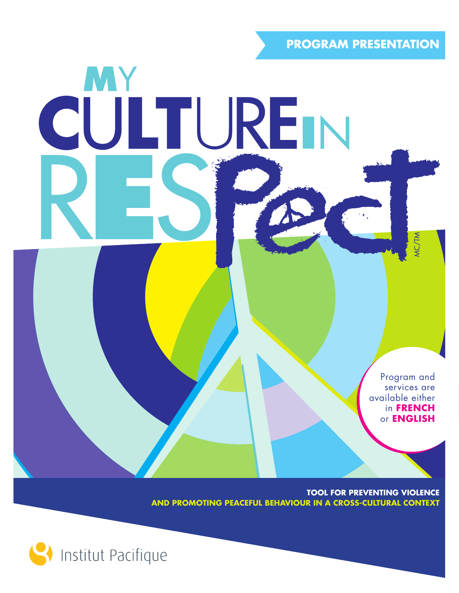**PROGRAM PRESENTATION**

Program and services are available either in **FRENCH** or **ENGLISH**

**TOOL FOR PREVENTING VIOLENCE AND PROMOTING PEACEFUL BEHAVIOUR IN A CROSS-CULTURAL CONTEXT**



MY

CULTUREN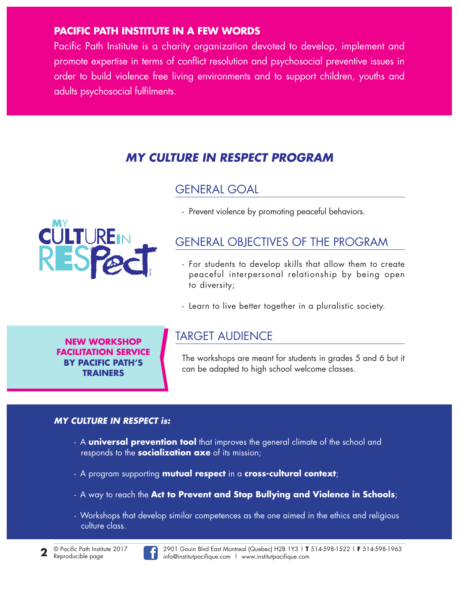#### **PACIFIC PATH INSTITUTE IN A FEW WORDS**

Pacific Path Institute is a charity organization devoted to develop, implement and promote expertise in terms of conflict resolution and psychosocial preventive issues in order to build violence free living environments and to support children, youths and adults psychosocial fulfilments.

## *MY CULTURE IN RESPECT PROGRAM*

#### GENERAL GOAL



- Prevent violence by promoting peaceful behaviors.

## GENERAL OBJECTIVES OF THE PROGRAM

- For students to develop skills that allow them to create peaceful interpersonal relationship by being open to diversity;
- Learn to live better together in a pluralistic society.

**NEW WORKSHOP FACILITATION SERVICE BY PACIFIC PATH'S TRAINERS**

### TARGET AUDIENCE

The workshops are meant for students in grades 5 and 6 but it can be adapted to high school welcome classes.

#### *MY CULTURE IN RESPECT is:*

- A **universal prevention tool** that improves the general climate of the school and responds to the **socialization axe** of its mission;
- A program supporting **mutual respect** in a **cross-cultural context**;
- A way to reach the **Act to Prevent and Stop Bullying and Violence in Schools**;
- Workshops that develop similar competences as the one aimed in the ethics and religious culture class.

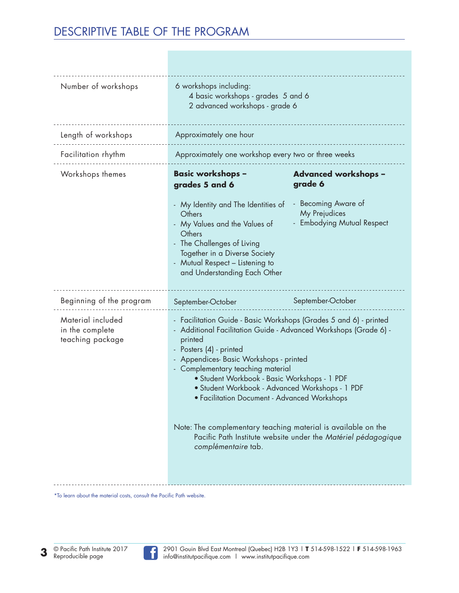# DESCRIPTIVE TABLE OF THE PROGRAM

| Number of workshops                                      | 6 workshops including:<br>4 basic workshops - grades 5 and 6<br>2 advanced workshops - grade 6                                                                                                                                                                                                                                                                                                                                                                                                                                                                  |                                                                                                              |
|----------------------------------------------------------|-----------------------------------------------------------------------------------------------------------------------------------------------------------------------------------------------------------------------------------------------------------------------------------------------------------------------------------------------------------------------------------------------------------------------------------------------------------------------------------------------------------------------------------------------------------------|--------------------------------------------------------------------------------------------------------------|
| Length of workshops                                      | Approximately one hour                                                                                                                                                                                                                                                                                                                                                                                                                                                                                                                                          |                                                                                                              |
| Facilitation rhythm                                      | Approximately one workshop every two or three weeks                                                                                                                                                                                                                                                                                                                                                                                                                                                                                                             |                                                                                                              |
| Workshops themes                                         | Basic workshops –<br>grades 5 and 6<br>- My Identity and The Identities of<br>Others<br>My Values and the Values of<br>Others<br>The Challenges of Living<br>Together in a Diverse Society<br>- Mutual Respect - Listening to<br>and Understanding Each Other                                                                                                                                                                                                                                                                                                   | <b>Advanced workshops -</b><br>grade 6<br>- Becoming Aware of<br>My Prejudices<br>- Embodying Mutual Respect |
| Beginning of the program                                 | September-October                                                                                                                                                                                                                                                                                                                                                                                                                                                                                                                                               | September-October                                                                                            |
| Material included<br>in the complete<br>teaching package | - Facilitation Guide - Basic Workshops (Grades 5 and 6) - printed<br>Additional Facilitation Guide - Advanced Workshops (Grade 6) -<br>printed<br>Posters (4) - printed<br>Appendices- Basic Workshops - printed<br>Complementary teaching material<br>• Student Workbook - Basic Workshops - 1 PDF<br>• Student Workbook - Advanced Workshops - 1 PDF<br>• Facilitation Document - Advanced Workshops<br>Note: The complementary teaching material is available on the<br>Pacific Path Institute website under the Matériel pédagogique<br>complémentaire tab. |                                                                                                              |

\*To learn about the material costs, consult the Pacific Path website.